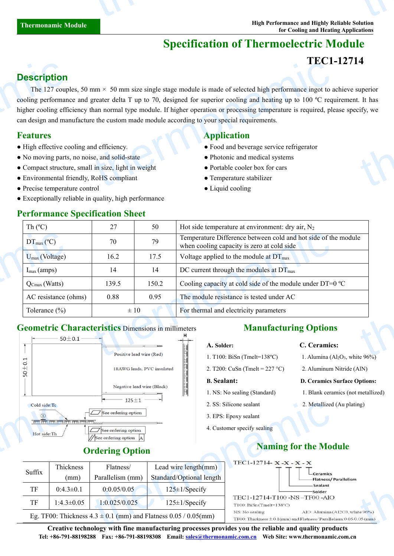# **Specification of Thermoelectric Module**

## **TEC1-12714**

## **Description**

The 127 couples, 50 mm  $\times$  50 mm size single stage module is made of selected high performance ingot to achieve superior cooling performance and greater delta T up to 70, designed for superior cooling and heating up to 100  $^{\circ}$ C requirement. It has higher cooling efficiency than normal type module. If higher operation or processing temperature is required, please specify, we can design and manufacture the custom made module according to yourspecial requirements. **Description**<br>The 127 coup<br>cooling performan<br>higher cooling effician design and ma<br>**Features**<br>• High effective co<br>• No moving parts<br>• Compact structu<br>• Environmental f  $\text{mm} \times 50 \text{ mm size single stage module is made of selected high performance ingot to a greater delta T up to 70, designed for superior cooling and heating up to 100 °C reqhan normal type module. If higher operation or processing temperature is required, pleet the custom made module according to your special requirements.\n\n**Application**\n\n**Application**\n\n**Problem**\n\n**Problem**\n\n**Problem**\n\n**Problem**\n\n**Problem**\n\n**Problem**\n\n**Problem**\n\n**Problem**\n\n**Problem**\n\n**Problem**\n\n**Problem**\n\n**Problem**\n\n**Problem**\n\n**Problem**\n\n**Problem**\n\n**Problem**$ thermon<br>thermonal state of the state of the state of the state of the state of the state of the state of the state of the state of the state of the state of the state of the state of the state of the state of the state of

- 
- No moving parts, no noise, and solid-state Photonic and medical systems
- Compact structure, small in size, light in weight Portable cooler box for cars
- Environmental friendly, RoHS compliant Temperature stabilizer
- Precise temperature control Liquid cooling

Suffix  $\begin{bmatrix} \text{Imex} \\ \text{mm} \end{bmatrix}$ 

Thickness

● Exceptionally reliable in quality, high performance

## **Performance Specification Sheet**

#### **Features Application**

- High effective cooling and efficiency. Food and beverage service refrigerator
	-
	-
	-
	-

| Temperature Difference between cold and hot side of the module<br>79<br>$DT_{\text{max}}$ (°C)<br>70                |
|---------------------------------------------------------------------------------------------------------------------|
| when cooling capacity is zero at cold side                                                                          |
| 16.2<br>$U_{\text{max}}$ (Voltage)<br>17.5<br>Voltage applied to the module at $DT_{\text{max}}$                    |
| $I_{\text{max}}$ (amps)<br>DC current through the modules at $DT_{\text{max}}$<br>14<br>14                          |
| Cooling capacity at cold side of the module under DT=0 °C<br>150.2<br>139.5<br>$\overline{Q}_{\text{Cmax}}$ (Watts) |
| 0.88<br>0.95<br>The module resistance is tested under AC<br>AC resistance (ohms)                                    |
| $\pm 10$<br>For thermal and electricity parameters<br>Tolerance $(\% )$                                             |

## **Geometric Characteristics** Dimensions in millimeters



### **Ordering Option**

Parallelism (mm) Flatness/

TF  $0:4.3\pm0.1$   $0:0.05/0.05$  125 $\pm1/$ Specify

| в. Sealant:                  |  |
|------------------------------|--|
| 1. NS: No sealing (Standard) |  |
| 2. SS: Silicone sealant      |  |
| 3. EPS: Epoxy sealant        |  |

4. Customer specify sealing

# **A. Solder: C. Ceramics:**

- 1. T100: BiSn (Tmelt=138°C) 1. Alumina (Al<sub>2</sub>O<sub>3</sub>, white  $96\%$ )
- 2. T200: CuSn (Tmelt =  $227 \text{ °C}$ ) 2. Aluminum Nitride (AlN)

#### **B. Sealant: D. Ceramics Surface Options:**

- 1. Blank ceramics (not metallized)
- 2. Metallized (Au plating)
- **Naming for the Module**



**Creative technology with fine manufacturing processes provides you the reliable and quality products Tel: +86-791-88198288 Fax: +86-791-88198308 Email: sales@thermonamic.com.cn Web Site: www.thermonamic.com.cn**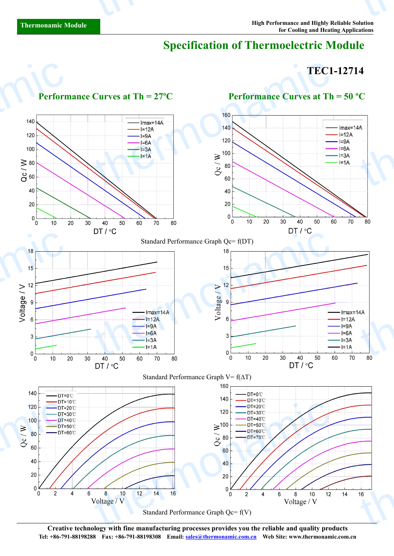# **Specification of Thermoelectric Module**

## **TEC1-12714**



**Creative technology with fine manufacturing processes provides you the reliable and quality products Tel: +86-791-88198288 Fax: +86-791-88198308 Email: sales@thermonamic.com.cn Web Site: www.thermonamic.com.cn**